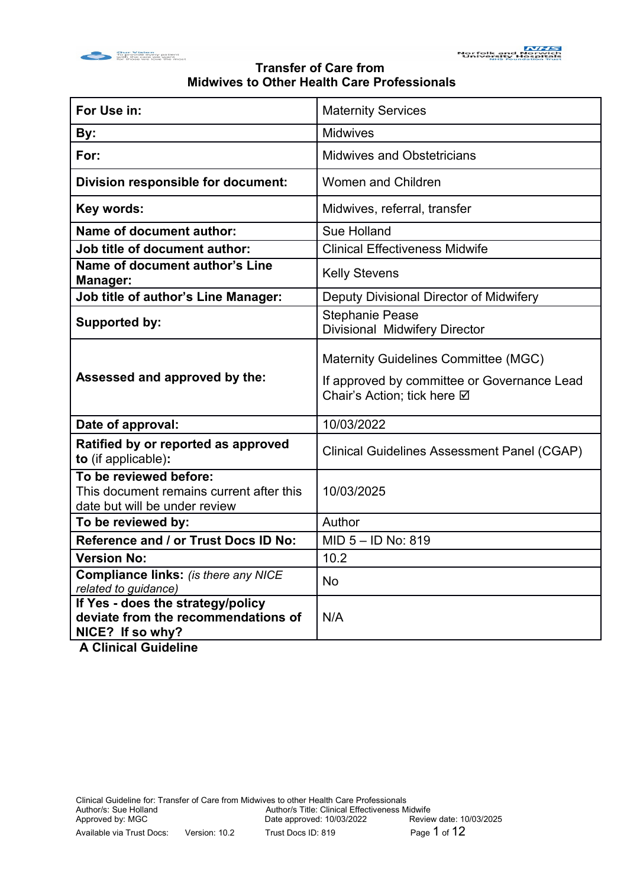



| For Use in:                                                                                                       | <b>Maternity Services</b>                                                                                                 |
|-------------------------------------------------------------------------------------------------------------------|---------------------------------------------------------------------------------------------------------------------------|
| By:                                                                                                               | <b>Midwives</b>                                                                                                           |
| For:                                                                                                              | <b>Midwives and Obstetricians</b>                                                                                         |
| Division responsible for document:                                                                                | <b>Women and Children</b>                                                                                                 |
| Key words:                                                                                                        | Midwives, referral, transfer                                                                                              |
| Name of document author:                                                                                          | Sue Holland                                                                                                               |
| Job title of document author:                                                                                     | <b>Clinical Effectiveness Midwife</b>                                                                                     |
| Name of document author's Line<br>Manager:                                                                        | <b>Kelly Stevens</b>                                                                                                      |
| Job title of author's Line Manager:                                                                               | Deputy Divisional Director of Midwifery                                                                                   |
| <b>Supported by:</b>                                                                                              | <b>Stephanie Pease</b><br>Divisional Midwifery Director                                                                   |
| Assessed and approved by the:                                                                                     | <b>Maternity Guidelines Committee (MGC)</b><br>If approved by committee or Governance Lead<br>Chair's Action; tick here Ø |
| Date of approval:                                                                                                 | 10/03/2022                                                                                                                |
| Ratified by or reported as approved<br>to (if applicable):                                                        | <b>Clinical Guidelines Assessment Panel (CGAP)</b>                                                                        |
| To be reviewed before:<br>This document remains current after this<br>date but will be under review               | 10/03/2025                                                                                                                |
| To be reviewed by:                                                                                                | Author                                                                                                                    |
| Reference and / or Trust Docs ID No:                                                                              | MID 5 - ID No: 819                                                                                                        |
| <b>Version No:</b>                                                                                                | 10.2                                                                                                                      |
| <b>Compliance links:</b> (is there any NICE<br>related to guidance)                                               | <b>No</b>                                                                                                                 |
| If Yes - does the strategy/policy<br>deviate from the recommendations of<br>NICE? If so why?<br>A Alberta Autrich | N/A                                                                                                                       |

 **A Clinical Guideline**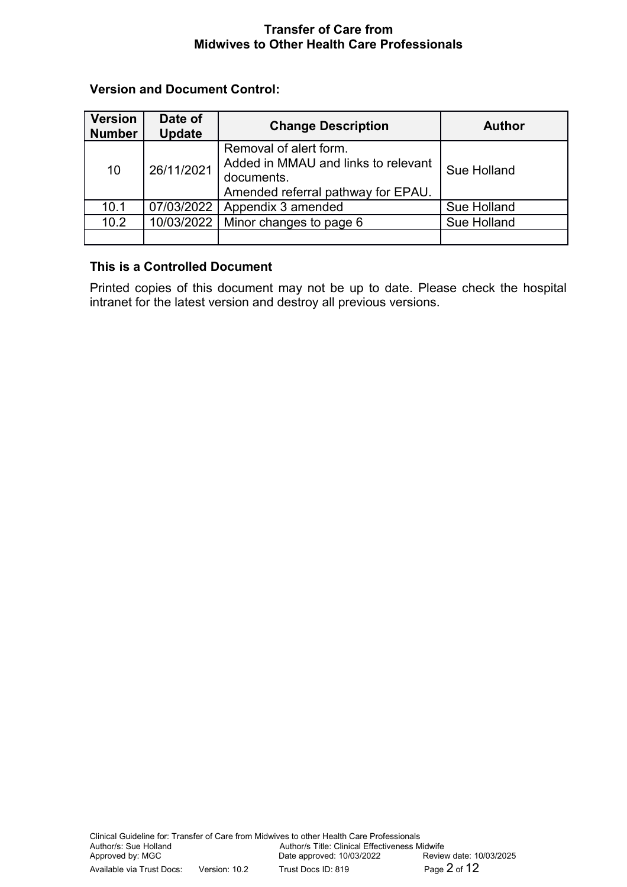# **Version and Document Control:**

| <b>Version</b><br><b>Number</b> | Date of<br><b>Update</b> | <b>Change Description</b>                                                                                         | <b>Author</b> |
|---------------------------------|--------------------------|-------------------------------------------------------------------------------------------------------------------|---------------|
| 10                              | 26/11/2021               | Removal of alert form.<br>Added in MMAU and links to relevant<br>documents.<br>Amended referral pathway for EPAU. | Sue Holland   |
| 10.1                            | 07/03/2022               | Appendix 3 amended                                                                                                | Sue Holland   |
| 10.2                            | 10/03/2022               | Minor changes to page 6                                                                                           | Sue Holland   |
|                                 |                          |                                                                                                                   |               |

# **This is a Controlled Document**

Printed copies of this document may not be up to date. Please check the hospital intranet for the latest version and destroy all previous versions.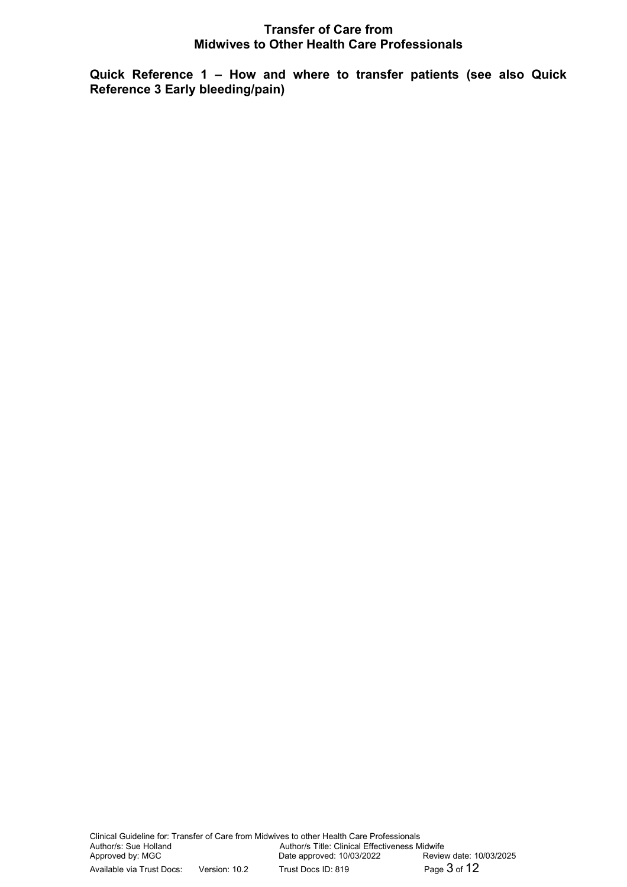**Quick Reference 1 – How and where to transfer patients (see also Quick Reference 3 Early bleeding/pain)**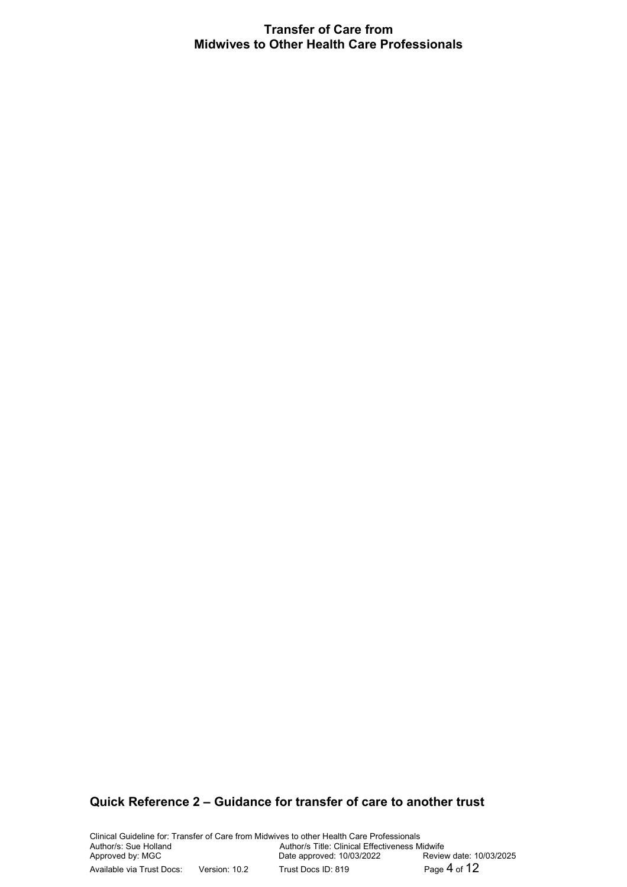# **Quick Reference 2 – Guidance for transfer of care to another trust**

Clinical Guideline for: Transfer of Care from Midwives to other Health Care Professionals Author/s: Sue Holland<br>
Author/s Title: Clinical Effectiveness Midwife<br>
Approved by: MGC<br>
Date approved: 10/03/2022<br>
Review date: 10/03/2025 Date approved: 10/03/2022 Available via Trust Docs: Version: 10.2 Trust Docs ID: 819 Page 4 of 12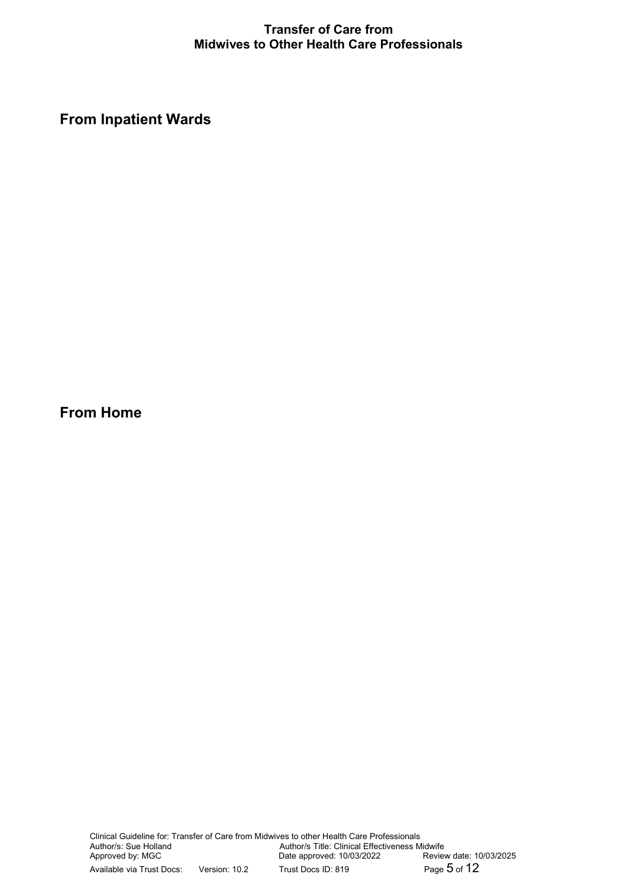**From Inpatient Wards**

**From Home**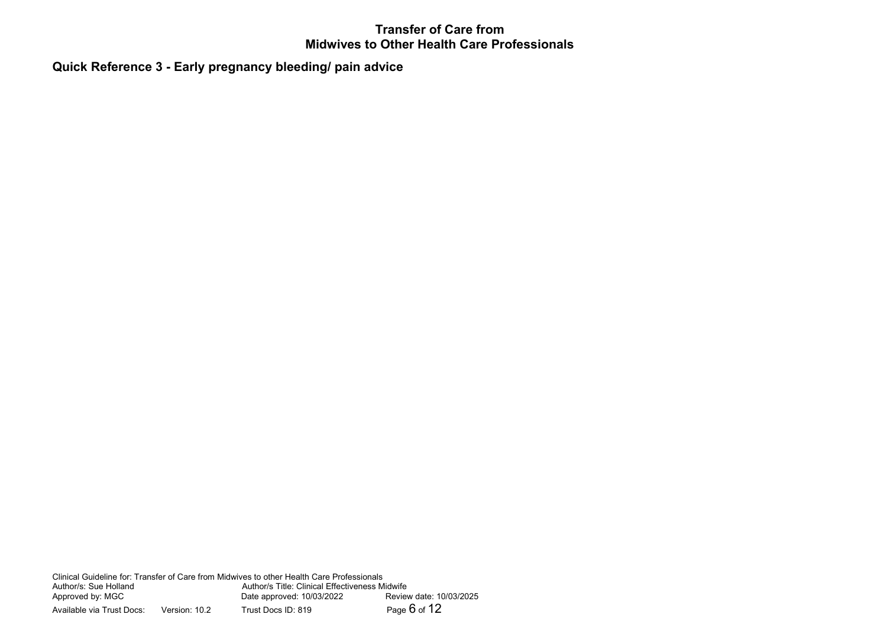**Quick Reference 3 - Early pregnancy bleeding/ pain advice**

Clinical Guideline for: Transfer of Care from Midwives to other Health Care Professionals Author/s Title: Clinical Effectiveness Midwife<br>Date approved: 10/03/2022 Review date: 10/03/2025 Approved by: MGC <br>Available via Trust Docs: Version: 10.2 Trust Docs ID: 819 Page 6 of 12 Available via Trust Docs: Version: 10.2 Trust Docs ID: 819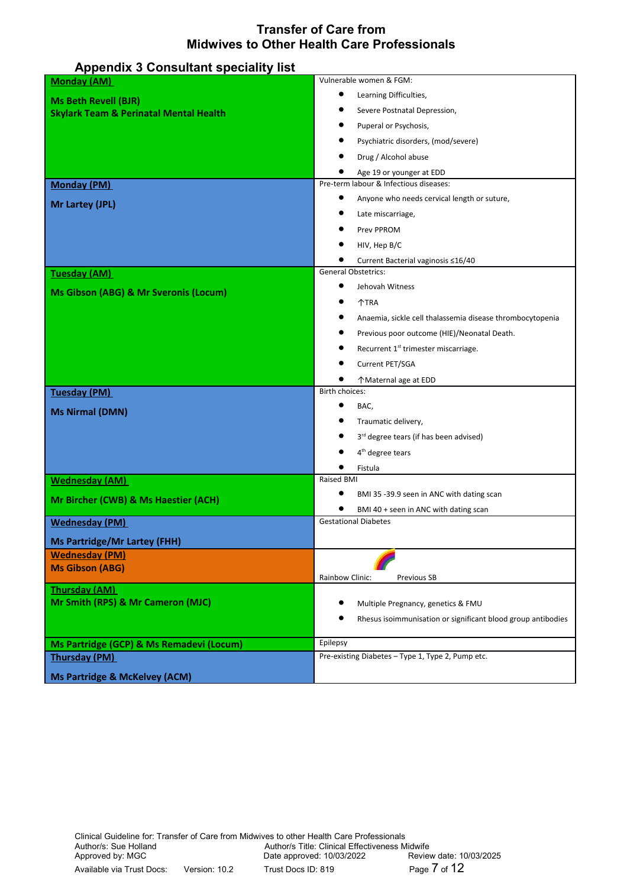| <b>Appendix 3 Consultant speciality list</b>              |                                                              |
|-----------------------------------------------------------|--------------------------------------------------------------|
| <b>Monday (AM)</b>                                        | Vulnerable women & FGM:                                      |
| <b>Ms Beth Revell (BJR)</b>                               | Learning Difficulties,                                       |
| <b>Skylark Team &amp; Perinatal Mental Health</b>         | Severe Postnatal Depression,                                 |
|                                                           | Puperal or Psychosis,                                        |
|                                                           | Psychiatric disorders, (mod/severe)                          |
|                                                           | Drug / Alcohol abuse                                         |
|                                                           | Age 19 or younger at EDD                                     |
| <b>Monday (PM)</b>                                        | Pre-term labour & Infectious diseases:                       |
| Mr Lartey (JPL)                                           | Anyone who needs cervical length or suture,                  |
|                                                           | Late miscarriage,                                            |
|                                                           | Prev PPROM                                                   |
|                                                           | HIV, Hep B/C                                                 |
|                                                           | Current Bacterial vaginosis ≤16/40                           |
| Tuesday (AM)                                              | <b>General Obstetrics:</b>                                   |
| Ms Gibson (ABG) & Mr Sveronis (Locum)                     | ٠<br>Jehovah Witness                                         |
|                                                           | <b>个TRA</b>                                                  |
|                                                           | Anaemia, sickle cell thalassemia disease thrombocytopenia    |
|                                                           | Previous poor outcome (HIE)/Neonatal Death.                  |
|                                                           | Recurrent 1 <sup>st</sup> trimester miscarriage.             |
|                                                           | Current PET/SGA                                              |
|                                                           | ↑ Maternal age at EDD                                        |
| <b>Tuesday (PM)</b>                                       | Birth choices:                                               |
| <b>Ms Nirmal (DMN)</b>                                    | BAC,                                                         |
|                                                           | Traumatic delivery,                                          |
|                                                           | 3rd degree tears (if has been advised)                       |
|                                                           | 4 <sup>th</sup> degree tears                                 |
| <b>Wednesday (AM)</b>                                     | Fistula<br>Raised BMI                                        |
|                                                           | BMI 35-39.9 seen in ANC with dating scan                     |
| Mr Bircher (CWB) & Ms Haestier (ACH)                      | BMI 40 + seen in ANC with dating scan                        |
| <b>Wednesday (PM)</b>                                     | <b>Gestational Diabetes</b>                                  |
| <b>Ms Partridge/Mr Lartey (FHH)</b>                       |                                                              |
| <b>Wednesday (PM)</b>                                     |                                                              |
| <b>Ms Gibson (ABG)</b>                                    |                                                              |
|                                                           | Rainbow Clinic:<br>Previous SB                               |
| <b>Thursday (AM)</b><br>Mr Smith (RPS) & Mr Cameron (MJC) | Multiple Pregnancy, genetics & FMU                           |
|                                                           | Rhesus isoimmunisation or significant blood group antibodies |
|                                                           |                                                              |
| Ms Partridge (GCP) & Ms Remadevi (Locum)                  | Epilepsy                                                     |
| <b>Thursday (PM)</b>                                      | Pre-existing Diabetes - Type 1, Type 2, Pump etc.            |
| <b>Ms Partridge &amp; McKelvey (ACM)</b>                  |                                                              |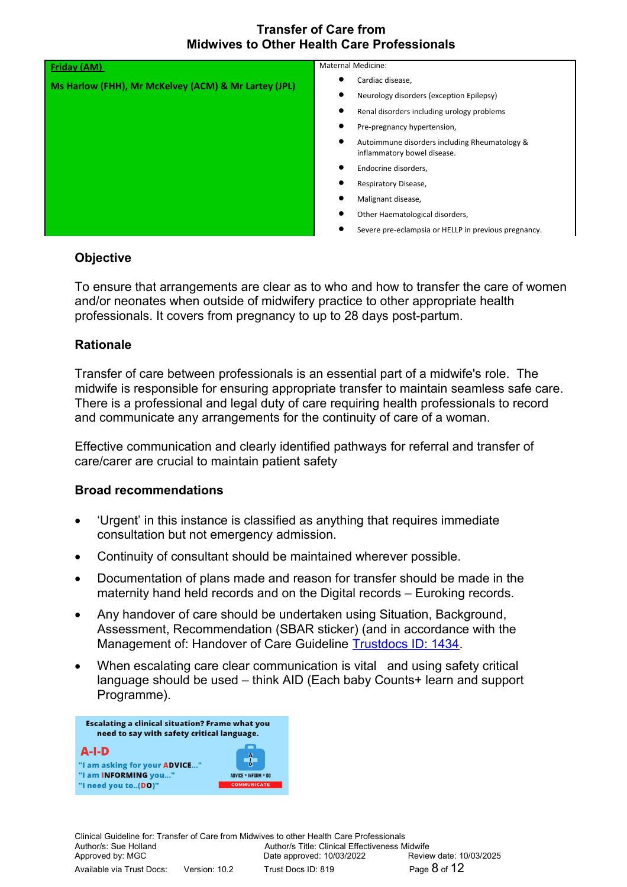| Friday (AM)                                          | <b>Maternal Medicine:</b>                                                                 |
|------------------------------------------------------|-------------------------------------------------------------------------------------------|
| Ms Harlow (FHH), Mr McKelvey (ACM) & Mr Lartey (JPL) | ٠<br>Cardiac disease,                                                                     |
|                                                      | ٠<br>Neurology disorders (exception Epilepsy)                                             |
|                                                      | $\bullet$<br>Renal disorders including urology problems                                   |
|                                                      | ٠<br>Pre-pregnancy hypertension,                                                          |
|                                                      | $\bullet$<br>Autoimmune disorders including Rheumatology &<br>inflammatory bowel disease. |
|                                                      | $\bullet$<br>Endocrine disorders,                                                         |
|                                                      | ٠<br>Respiratory Disease,                                                                 |
|                                                      | Malignant disease,                                                                        |
|                                                      | ٠<br>Other Haematological disorders,                                                      |
|                                                      | Severe pre-eclampsia or HELLP in previous pregnancy.                                      |

### **Objective**

To ensure that arrangements are clear as to who and how to transfer the care of women and/or neonates when outside of midwifery practice to other appropriate health professionals. It covers from pregnancy to up to 28 days post-partum.

### **Rationale**

Transfer of care between professionals is an essential part of a midwife's role. The midwife is responsible for ensuring appropriate transfer to maintain seamless safe care. There is a professional and legal duty of care requiring health professionals to record and communicate any arrangements for the continuity of care of a woman.

Effective communication and clearly identified pathways for referral and transfer of care/carer are crucial to maintain patient safety

#### **Broad recommendations**

- 'Urgent' in this instance is classified as anything that requires immediate consultation but not emergency admission.
- Continuity of consultant should be maintained wherever possible.
- Documentation of plans made and reason for transfer should be made in the maternity hand held records and on the Digital records – Euroking records.
- Any handover of care should be undertaken using Situation, Background, Assessment, Recommendation (SBAR sticker) (and in accordance with the Management of: Handover of Care Guideline [Trustdocs ID: 1434.](http://trustdocs/Doc.aspx?id=1434)
- When escalating care clear communication is vital and using safety critical language should be used – think AID (Each baby Counts+ learn and support Programme).



Clinical Guideline for: Transfer of Care from Midwives to other Health Care Professionals Author/s Title: Clinical Effectiveness Midwife<br>Date approved: 10/03/2022 Review date: 10/03/2025 Approved by: MGC Date approved: 10/03/2022 Available via Trust Docs: Version: 10.2 Trust Docs ID: 819 Page 8 of 12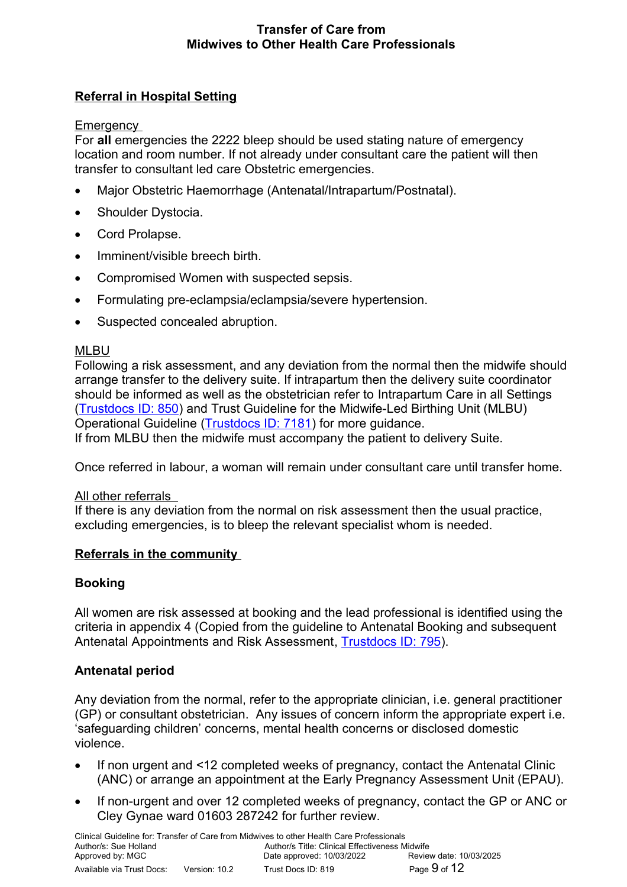# **Referral in Hospital Setting**

Emergency

For **all** emergencies the 2222 bleep should be used stating nature of emergency location and room number. If not already under consultant care the patient will then transfer to consultant led care Obstetric emergencies.

- Major Obstetric Haemorrhage (Antenatal/Intrapartum/Postnatal).
- Shoulder Dystocia.
- Cord Prolapse.
- Imminent/visible breech birth.
- Compromised Women with suspected sepsis.
- Formulating pre-eclampsia/eclampsia/severe hypertension.
- Suspected concealed abruption.

### MLBU

Following a risk assessment, and any deviation from the normal then the midwife should arrange transfer to the delivery suite. If intrapartum then the delivery suite coordinator should be informed as well as the obstetrician refer to Intrapartum Care in all Settings [\(Trustdocs ID: 850\)](http://trustdocs/Doc.aspx?id=850) and Trust Guideline for the Midwife-Led Birthing Unit (MLBU) Operational Guideline [\(Trustdocs ID: 7181\)](http://trustdocs/Doc.aspx?id=7181) for more guidance. If from MLBU then the midwife must accompany the patient to delivery Suite.

Once referred in labour, a woman will remain under consultant care until transfer home.

#### All other referrals

If there is any deviation from the normal on risk assessment then the usual practice, excluding emergencies, is to bleep the relevant specialist whom is needed.

#### **Referrals in the community**

# **Booking**

All women are risk assessed at booking and the lead professional is identified using the criteria in appendix 4 (Copied from the guideline to Antenatal Booking and subsequent Antenatal Appointments and Risk Assessment, [Trustdocs ID: 795\)](http://trustdocs/Doc.aspx?id=795).

# **Antenatal period**

Any deviation from the normal, refer to the appropriate clinician, i.e. general practitioner (GP) or consultant obstetrician. Any issues of concern inform the appropriate expert i.e. 'safeguarding children' concerns, mental health concerns or disclosed domestic violence.

- If non urgent and <12 completed weeks of pregnancy, contact the Antenatal Clinic (ANC) or arrange an appointment at the Early Pregnancy Assessment Unit (EPAU).
- If non-urgent and over 12 completed weeks of pregnancy, contact the GP or ANC or Cley Gynae ward 01603 287242 for further review.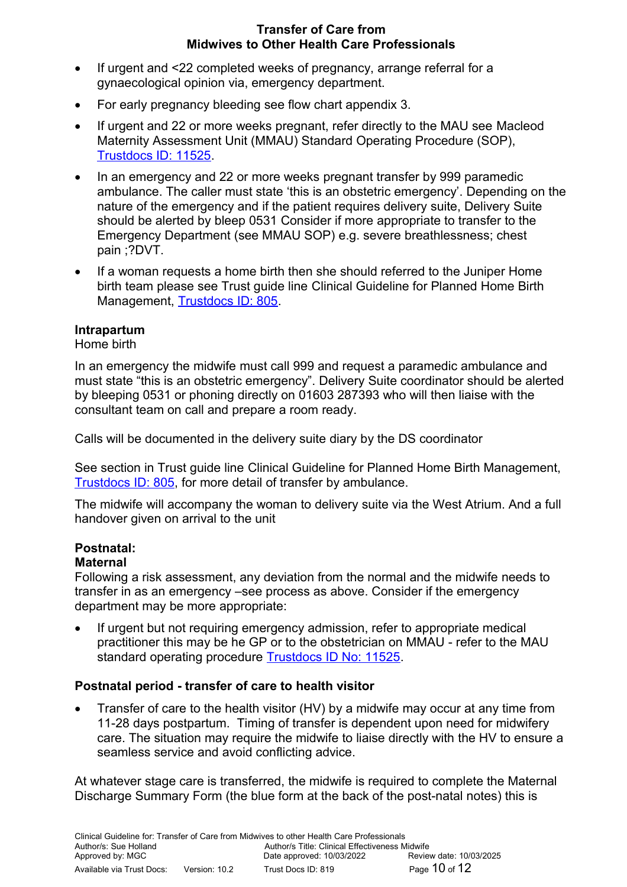- If urgent and <22 completed weeks of pregnancy, arrange referral for a gynaecological opinion via, emergency department.
- For early pregnancy bleeding see flow chart appendix 3.
- If urgent and 22 or more weeks pregnant, refer directly to the MAU see Macleod Maternity Assessment Unit (MMAU) Standard Operating Procedure (SOP), [Trustdocs ID: 11525.](http://trustdocs/Doc.aspx?id=11525)
- In an emergency and 22 or more weeks pregnant transfer by 999 paramedic ambulance. The caller must state 'this is an obstetric emergency'. Depending on the nature of the emergency and if the patient requires delivery suite, Delivery Suite should be alerted by bleep 0531 Consider if more appropriate to transfer to the Emergency Department (see MMAU SOP) e.g. severe breathlessness; chest pain ;?DVT.
- If a woman requests a home birth then she should referred to the Juniper Home birth team please see Trust guide line Clinical Guideline for Planned Home Birth Management, [Trustdocs ID: 805.](http://trustdocs/Doc.aspx?id=805)

# **Intrapartum**

Home birth

In an emergency the midwife must call 999 and request a paramedic ambulance and must state "this is an obstetric emergency". Delivery Suite coordinator should be alerted by bleeping 0531 or phoning directly on 01603 287393 who will then liaise with the consultant team on call and prepare a room ready.

Calls will be documented in the delivery suite diary by the DS coordinator

See section in Trust guide line Clinical Guideline for Planned Home Birth Management, [Trustdocs ID: 805,](http://trustdocs/Doc.aspx?id=805) for more detail of transfer by ambulance.

The midwife will accompany the woman to delivery suite via the West Atrium. And a full handover given on arrival to the unit

# **Postnatal:**

# **Maternal**

Following a risk assessment, any deviation from the normal and the midwife needs to transfer in as an emergency –see process as above. Consider if the emergency department may be more appropriate:

 If urgent but not requiring emergency admission, refer to appropriate medical practitioner this may be he GP or to the obstetrician on MMAU - refer to the MAU standard operating procedure [Trustdocs ID No: 11525.](http://trustdocs/Doc.aspx?id=11525)

# **Postnatal period - transfer of care to health visitor**

 Transfer of care to the health visitor (HV) by a midwife may occur at any time from 11-28 days postpartum. Timing of transfer is dependent upon need for midwifery care. The situation may require the midwife to liaise directly with the HV to ensure a seamless service and avoid conflicting advice.

At whatever stage care is transferred, the midwife is required to complete the Maternal Discharge Summary Form (the blue form at the back of the post-natal notes) this is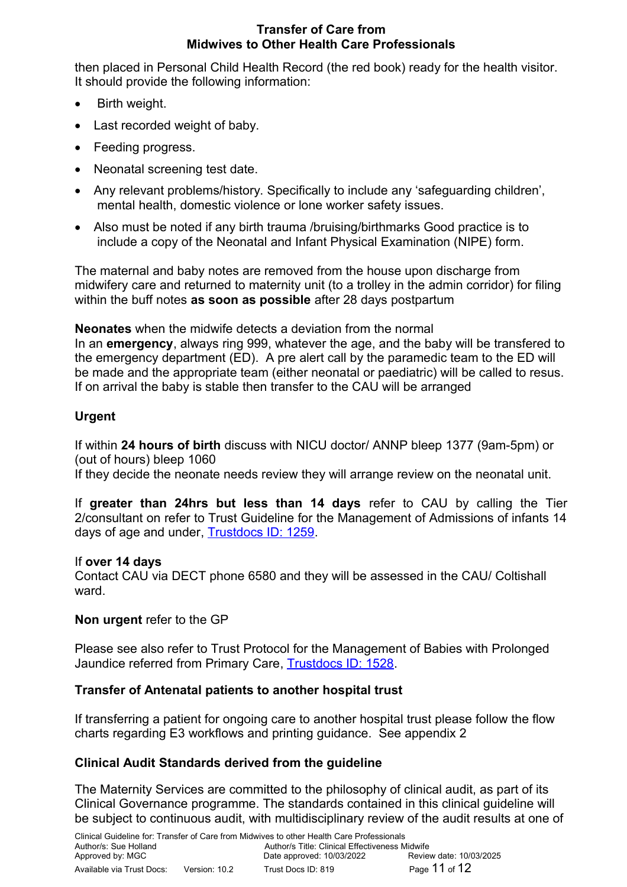then placed in Personal Child Health Record (the red book) ready for the health visitor. It should provide the following information:

- Birth weight.
- Last recorded weight of baby.
- Feeding progress.
- Neonatal screening test date.
- Any relevant problems/history. Specifically to include any 'safeguarding children', mental health, domestic violence or lone worker safety issues.
- Also must be noted if any birth trauma /bruising/birthmarks Good practice is to include a copy of the Neonatal and Infant Physical Examination (NIPE) form.

The maternal and baby notes are removed from the house upon discharge from midwifery care and returned to maternity unit (to a trolley in the admin corridor) for filing within the buff notes **as soon as possible** after 28 days postpartum

**Neonates** when the midwife detects a deviation from the normal In an **emergency**, always ring 999, whatever the age, and the baby will be transfered to the emergency department (ED). A pre alert call by the paramedic team to the ED will be made and the appropriate team (either neonatal or paediatric) will be called to resus. If on arrival the baby is stable then transfer to the CAU will be arranged

# **Urgent**

If within **24 hours of birth** discuss with NICU doctor/ ANNP bleep 1377 (9am-5pm) or (out of hours) bleep 1060

If they decide the neonate needs review they will arrange review on the neonatal unit.

If **greater than 24hrs but less than 14 days** refer to CAU by calling the Tier 2/consultant on refer to Trust Guideline for the Management of Admissions of infants 14 days of age and under, **Trustdocs ID: 1259**.

# If **over 14 days**

Contact CAU via DECT phone 6580 and they will be assessed in the CAU/ Coltishall ward.

# **Non urgent** refer to the GP

Please see also refer to Trust Protocol for the Management of Babies with Prolonged Jaundice referred from Primary Care, [Trustdocs ID: 1528.](http://trustdocs/Doc.aspx?id=1528)

# **Transfer of Antenatal patients to another hospital trust**

If transferring a patient for ongoing care to another hospital trust please follow the flow charts regarding E3 workflows and printing guidance. See appendix 2

# **Clinical Audit Standards derived from the guideline**

The Maternity Services are committed to the philosophy of clinical audit, as part of its Clinical Governance programme. The standards contained in this clinical guideline will be subject to continuous audit, with multidisciplinary review of the audit results at one of